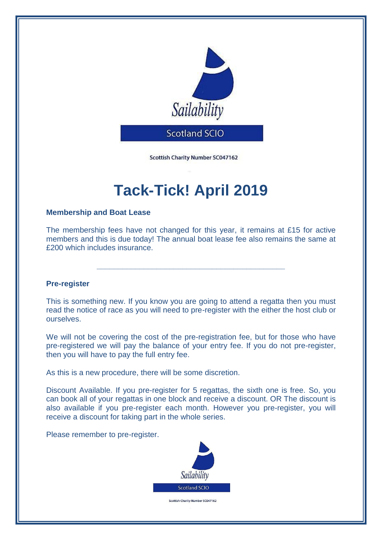

Scottish Charity Number SC047162

# **Tack-Tick! April 2019**

## **Membership and Boat Lease**

The membership fees have not changed for this year, it remains at £15 for active members and this is due today! The annual boat lease fee also remains the same at £200 which includes insurance.

**\_\_\_\_\_\_\_\_\_\_\_\_\_\_\_\_\_\_\_\_\_\_\_\_\_\_\_\_\_\_\_\_\_\_\_\_\_\_\_\_\_\_\_\_**

## **Pre-register**

This is something new. If you know you are going to attend a regatta then you must read the notice of race as you will need to pre-register with the either the host club or ourselves.

We will not be covering the cost of the pre-registration fee, but for those who have pre-registered we will pay the balance of your entry fee. If you do not pre-register, then you will have to pay the full entry fee.

As this is a new procedure, there will be some discretion.

Discount Available. If you pre-register for 5 regattas, the sixth one is free. So, you can book all of your regattas in one block and receive a discount. OR The discount is also available if you pre-register each month. However you pre-register, you will receive a discount for taking part in the whole series.

Please remember to pre-register.



Scottish Charity Number SC047162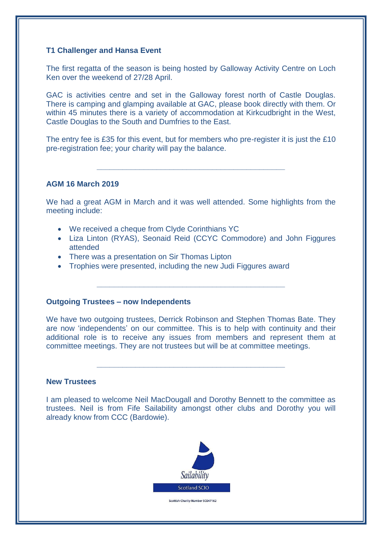## **T1 Challenger and Hansa Event**

The first regatta of the season is being hosted by Galloway Activity Centre on Loch Ken over the weekend of 27/28 April.

GAC is activities centre and set in the Galloway forest north of Castle Douglas. There is camping and glamping available at GAC, please book directly with them. Or within 45 minutes there is a variety of accommodation at Kirkcudbright in the West, Castle Douglas to the South and Dumfries to the East.

The entry fee is £35 for this event, but for members who pre-register it is just the £10 pre-registration fee; your charity will pay the balance.

**\_\_\_\_\_\_\_\_\_\_\_\_\_\_\_\_\_\_\_\_\_\_\_\_\_\_\_\_\_\_\_\_\_\_\_\_\_\_\_\_\_\_\_\_**

#### **AGM 16 March 2019**

We had a great AGM in March and it was well attended. Some highlights from the meeting include:

- We received a cheque from Clyde Corinthians YC
- Liza Linton (RYAS), Seonaid Reid (CCYC Commodore) and John Figgures attended
- There was a presentation on Sir Thomas Lipton
- Trophies were presented, including the new Judi Figgures award

#### **Outgoing Trustees – now Independents**

We have two outgoing trustees, Derrick Robinson and Stephen Thomas Bate. They are now 'independents' on our committee. This is to help with continuity and their additional role is to receive any issues from members and represent them at committee meetings. They are not trustees but will be at committee meetings.

**\_\_\_\_\_\_\_\_\_\_\_\_\_\_\_\_\_\_\_\_\_\_\_\_\_\_\_\_\_\_\_\_\_\_\_\_\_\_\_\_\_\_\_\_**

**\_\_\_\_\_\_\_\_\_\_\_\_\_\_\_\_\_\_\_\_\_\_\_\_\_\_\_\_\_\_\_\_\_\_\_\_\_\_\_\_\_\_\_\_**

#### **New Trustees**

I am pleased to welcome Neil MacDougall and Dorothy Bennett to the committee as trustees. Neil is from Fife Sailability amongst other clubs and Dorothy you will already know from CCC (Bardowie).



Scottish Charity Number SC047162